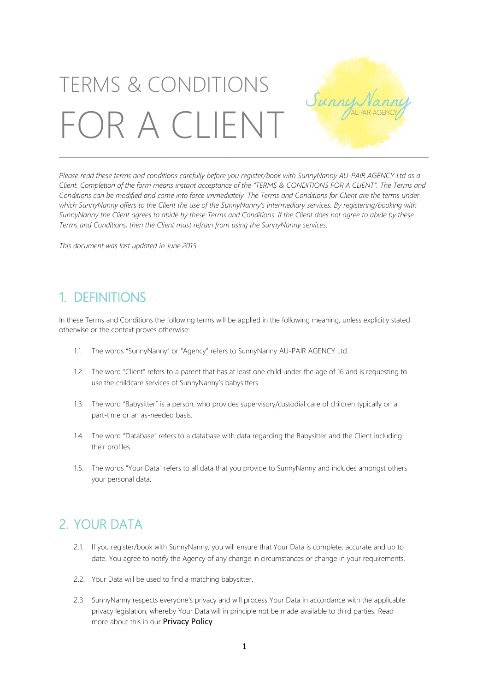# TERMS & CONDITIONS Sunny OR A CLIENT

Please read these terms and conditions carefully before you register/book with SunnyNanny AU-PAIR AGENCY Ltd as a Client. Completion of the form means instant acceptance of the "TERMS & CONDITIONS FOR A CLIENT". The Terms and Conditions can be modified and come into force immediately. The Terms and Conditions for Client are the terms under which SunnyNanny offers to the Client the use of the SunnyNanny's intermediary services. By reaistering/booking with SunnyNanny the Client agrees to abide by these Terms and Conditions. If the Client does not agree to abide by these *Terms and Conditions, then the Client must refrain from using the SunnyNanny services.*

\_\_\_\_\_\_\_\_\_\_\_\_\_\_\_\_\_\_\_\_\_\_\_\_\_\_\_\_\_\_\_\_\_\_\_\_\_\_\_\_\_\_\_\_\_\_\_\_\_\_\_\_\_\_\_\_\_\_\_\_\_\_\_\_\_\_\_\_\_\_\_\_\_\_\_

*This document was last updated in June 2015.*

#### 1. DEFINITIONS

In these Terms and Conditions the following terms will be applied in the following meaning, unless explicitly stated otherwise or the context proves otherwise:

- 1.1. The words "SunnyNanny" or "Agency" refers to SunnyNanny AU-PAIR AGENCY Ltd.
- 1.2. The word "Client" refers to a parent that has at least one child under the age of 16 and is requesting to use the childcare services of SunnyNanny's babysitters.
- 1.3. The word "Babysitter" is a person, who provides supervisory/custodial care of children typically on a part-time or an as-needed basis.
- 1.4. The word "Database" refers to a database with data regarding the Babysitter and the Client including their profiles.
- 1.5. The words "Your Data" refers to all data that you provide to SunnyNanny and includes amongst others your personal data.

## 2. YOUR DATA

- 2.1. If you register/book with SunnyNanny, you will ensure that Your Data is complete, accurate and up to date. You agree to notify the Agency of any change in circumstances or change in your requirements.
- 2.2. Your Data will be used to find a matching babysitter.
- 2.3. SunnyNanny respects everyone's privacy and will process Your Data in accordance with the applicable privacy legislation, whereby Your Data will in principle not be made available to third parties. Read more about this in our [Privacy Policy](http://media.wix.com/ugd/4e2671_57bcc5978f334b22ad098be9843f3590.pdf).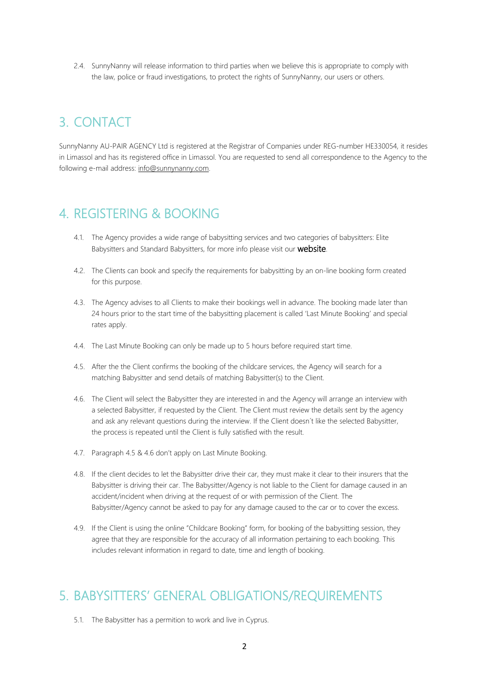2.4. SunnyNanny will release information to third parties when we believe this is appropriate to comply with the law, police or fraud investigations, to protect the rights of SunnyNanny, our users or others.

## 3. CONTACT

SunnyNanny AU-PAIR AGENCY Ltd is registered at the Registrar of Companies under REG-number HE330054, it resides in Limassol and has its registered office in Limassol. You are requested to send all correspondence to the Agency to the following e-mail address: [info@sunnynanny.com.](mailto:info@sunnynanny.com) 

#### 4. REGISTERING & BOOKING

- 4.1. The Agency provides a wide range of babysitting services and two categories of babysitters: Elite Babysitters and Standard Babysitters, for more info please visit our **[website](http://www.sunnynanny.com/)**.
- 4.2. The Clients can book and specify the requirements for babysitting by an on-line booking form created for this purpose.
- 4.3. The Agency advises to all Clients to make their bookings well in advance. The booking made later than 24 hours prior to the start time of the babysitting placement is called 'Last Minute Booking' and special rates apply.
- 4.4. The Last Minute Booking can only be made up to 5 hours before required start time.
- 4.5. After the the Client confirms the booking of the childcare services, the Agency will search for a matching Babysitter and send details of matching Babysitter(s) to the Client.
- 4.6. The Client will select the Babysitter they are interested in and the Agency will arrange an interview with a selected Babysitter, if requested by the Client. The Client must review the details sent by the agency and ask any relevant questions during the interview. If the Client doesn´t like the selected Babysitter, the process is repeated until the Client is fully satisfied with the result.
- 4.7. Paragraph 4.5 & 4.6 don't apply on Last Minute Booking.
- 4.8. If the client decides to let the Babysitter drive their car, they must make it clear to their insurers that the Babysitter is driving their car. The Babysitter/Agency is not liable to the Client for damage caused in an accident/incident when driving at the request of or with permission of the Client. The Babysitter/Agency cannot be asked to pay for any damage caused to the car or to cover the excess.
- 4.9. If the Client is using the online "Childcare Booking" form, for booking of the babysitting session, they agree that they are responsible for the accuracy of all information pertaining to each booking. This includes relevant information in regard to date, time and length of booking.

#### 5. BABYSITTERS' GENERAL OBLIGATIONS/REQUIREMENTS

5.1. The Babysitter has a permition to work and live in Cyprus.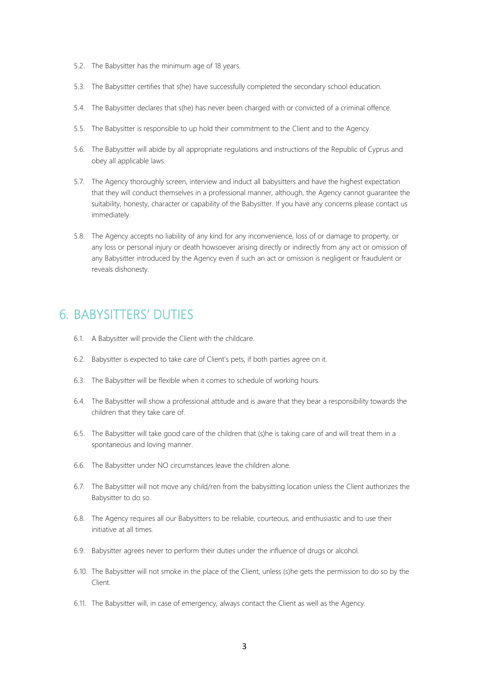- 5.2. The Babysitter has the minimum age of 18 years.
- 5.3. The Babysitter certifies that s(he) have successfully completed the secondary school education.
- 5.4. The Babysitter declares that s(he) has never been charged with or convicted of a criminal offence.
- 5.5. The Babysitter is responsible to up hold their commitment to the Client and to the Agency.
- 5.6. The Babysitter will abide by all appropriate regulations and instructions of the Republic of Cyprus and obey all applicable laws.
- 5.7. The Agency thoroughly screen, interview and induct all babysitters and have the highest expectation that they will conduct themselves in a professional manner, although, the Agency cannot guarantee the suitability, honesty, character or capability of the Babysitter. If you have any concerns please contact us immediately.
- 5.8. The Agency accepts no liability of any kind for any inconvenience, loss of or damage to property, or any loss or personal injury or death howsoever arising directly or indirectly from any act or omission of any Babysitter introduced by the Agency even if such an act or omission is negligent or fraudulent or reveals dishonesty.

## 6. BABYSITTERS' DUTIES

- 6.1. A Babysitter will provide the Client with the childcare.
- 6.2. Babysitter is expected to take care of Client's pets, if both parties agree on it.
- 6.3. The Babysitter will be flexible when it comes to schedule of working hours.
- 6.4. The Babysitter will show a professional attitude and is aware that they bear a responsibility towards the children that they take care of.
- 6.5. The Babysitter will take good care of the children that (s)he is taking care of and will treat them in a spontaneous and loving manner.
- 6.6. The Babysitter under NO circumstances leave the children alone.
- 6.7. The Babysitter will not move any child/ren from the babysitting location unless the Client authorizes the Babysitter to do so.
- 6.8. The Agency requires all our Babysitters to be reliable, courteous, and enthusiastic and to use their initiative at all times.
- 6.9. Babysitter agrees never to perform their duties under the influence of drugs or alcohol.
- 6.10. The Babysitter will not smoke in the place of the Client, unless (s)he gets the permission to do so by the Client.
- 6.11. The Babysitter will, in case of emergency, always contact the Client as well as the Agency.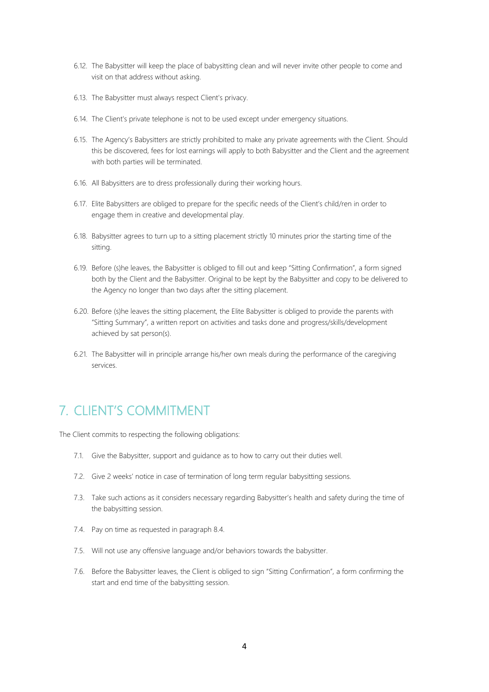- 6.12. The Babysitter will keep the place of babysitting clean and will never invite other people to come and visit on that address without asking.
- 6.13. The Babysitter must always respect Client's privacy.
- 6.14. The Client's private telephone is not to be used except under emergency situations.
- 6.15. The Agency's Babysitters are strictly prohibited to make any private agreements with the Client. Should this be discovered, fees for lost earnings will apply to both Babysitter and the Client and the agreement with both parties will be terminated.
- 6.16. All Babysitters are to dress professionally during their working hours.
- 6.17. Elite Babysitters are obliged to prepare for the specific needs of the Client's child/ren in order to engage them in creative and developmental play.
- 6.18. Babysitter agrees to turn up to a sitting placement strictly 10 minutes prior the starting time of the sitting.
- 6.19. Before (s)he leaves, the Babysitter is obliged to fill out and keep "Sitting Confirmation", a form signed both by the Client and the Babysitter. Original to be kept by the Babysitter and copy to be delivered to the Agency no longer than two days after the sitting placement.
- 6.20. Before (s)he leaves the sitting placement, the Elite Babysitter is obliged to provide the parents with "Sitting Summary", a written report on activities and tasks done and progress/skills/development achieved by sat person(s).
- 6.21. The Babysitter will in principle arrange his/her own meals during the performance of the caregiving services.

#### 7. CLIENT'S COMMITMENT

The Client commits to respecting the following obligations:

- 7.1. Give the Babysitter, support and guidance as to how to carry out their duties well.
- 7.2. Give 2 weeks' notice in case of termination of long term regular babysitting sessions.
- 7.3. Take such actions as it considers necessary regarding Babysitter's health and safety during the time of the babysitting session.
- 7.4. Pay on time as requested in paragraph 8.4.
- 7.5. Will not use any offensive language and/or behaviors towards the babysitter.
- 7.6. Before the Babysitter leaves, the Client is obliged to sign "Sitting Confirmation", a form confirming the start and end time of the babysitting session.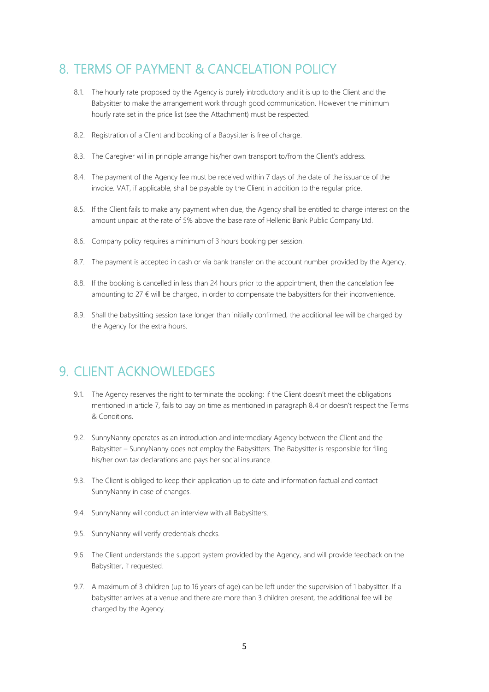## 8. TERMS OF PAYMENT & CANCELATION POLICY

- 8.1. The hourly rate proposed by the Agency is purely introductory and it is up to the Client and the Babysitter to make the arrangement work through good communication. However the minimum hourly rate set in the price list (see the Attachment) must be respected.
- 8.2. Registration of a Client and booking of a Babysitter is free of charge.
- 8.3. The Caregiver will in principle arrange his/her own transport to/from the Client's address.
- 8.4. The payment of the Agency fee must be received within 7 days of the date of the issuance of the invoice. VAT, if applicable, shall be payable by the Client in addition to the regular price.
- 8.5. If the Client fails to make any payment when due, the Agency shall be entitled to charge interest on the amount unpaid at the rate of 5% above the base rate of Hellenic Bank Public Company Ltd.
- 8.6. Company policy requires a minimum of 3 hours booking per session.
- 8.7. The payment is accepted in cash or via bank transfer on the account number provided by the Agency.
- 8.8. If the booking is cancelled in less than 24 hours prior to the appointment, then the cancelation fee amounting to  $27 \notin$  will be charged, in order to compensate the babysitters for their inconvenience.
- 8.9. Shall the babysitting session take longer than initially confirmed, the additional fee will be charged by the Agency for the extra hours.

#### 9. CLIENT ACKNOWLEDGES

- 9.1. The Agency reserves the right to terminate the booking; if the Client doesn't meet the obligations mentioned in article 7, fails to pay on time as mentioned in paragraph 8.4 or doesn't respect the Terms & Conditions.
- 9.2. SunnyNanny operates as an introduction and intermediary Agency between the Client and the Babysitter – SunnyNanny does not employ the Babysitters. The Babysitter is responsible for filing his/her own tax declarations and pays her social insurance.
- 9.3. The Client is obliged to keep their application up to date and information factual and contact SunnyNanny in case of changes.
- 9.4. SunnyNanny will conduct an interview with all Babysitters.
- 9.5. SunnyNanny will verify credentials checks.
- 9.6. The Client understands the support system provided by the Agency, and will provide feedback on the Babysitter, if requested.
- 9.7. A maximum of 3 children (up to 16 years of age) can be left under the supervision of 1 babysitter. If a babysitter arrives at a venue and there are more than 3 children present, the additional fee will be charged by the Agency.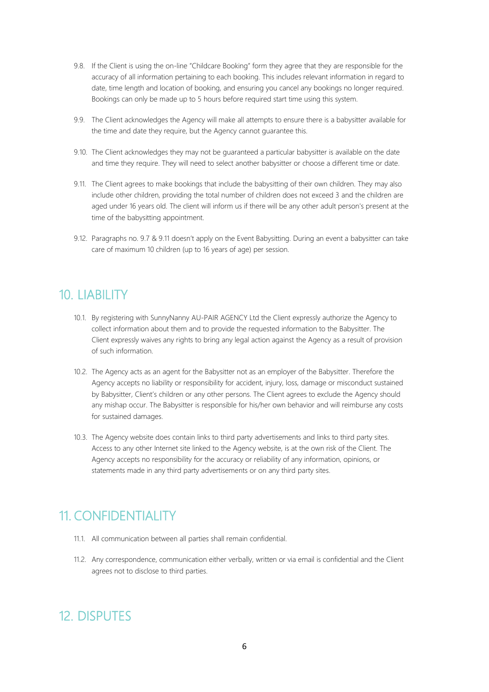- 9.8. If the Client is using the on-line "Childcare Booking" form they agree that they are responsible for the accuracy of all information pertaining to each booking. This includes relevant information in regard to date, time length and location of booking, and ensuring you cancel any bookings no longer required. Bookings can only be made up to 5 hours before required start time using this system.
- 9.9. The Client acknowledges the Agency will make all attempts to ensure there is a babysitter available for the time and date they require, but the Agency cannot guarantee this.
- 9.10. The Client acknowledges they may not be guaranteed a particular babysitter is available on the date and time they require. They will need to select another babysitter or choose a different time or date.
- 9.11. The Client agrees to make bookings that include the babysitting of their own children. They may also include other children, providing the total number of children does not exceed 3 and the children are aged under 16 years old. The client will inform us if there will be any other adult person's present at the time of the babysitting appointment.
- 9.12. Paragraphs no. 9.7 & 9.11 doesn't apply on the Event Babysitting. During an event a babysitter can take care of maximum 10 children (up to 16 years of age) per session.

#### 10. LIABILITY

- 10.1. By registering with SunnyNanny AU-PAIR AGENCY Ltd the Client expressly authorize the Agency to collect information about them and to provide the requested information to the Babysitter. The Client expressly waives any rights to bring any legal action against the Agency as a result of provision of such information.
- 10.2. The Agency acts as an agent for the Babysitter not as an employer of the Babysitter. Therefore the Agency accepts no liability or responsibility for accident, injury, loss, damage or misconduct sustained by Babysitter, Client's children or any other persons. The Client agrees to exclude the Agency should any mishap occur. The Babysitter is responsible for his/her own behavior and will reimburse any costs for sustained damages.
- 10.3. The Agency website does contain links to third party advertisements and links to third party sites. Access to any other Internet site linked to the Agency website, is at the own risk of the Client. The Agency accepts no responsibility for the accuracy or reliability of any information, opinions, or statements made in any third party advertisements or on any third party sites.

## 11. CONFIDENTIALITY

- 11.1. All communication between all parties shall remain confidential.
- 11.2. Any correspondence, communication either verbally, written or via email is confidential and the Client agrees not to disclose to third parties.

## 12. DISPUTES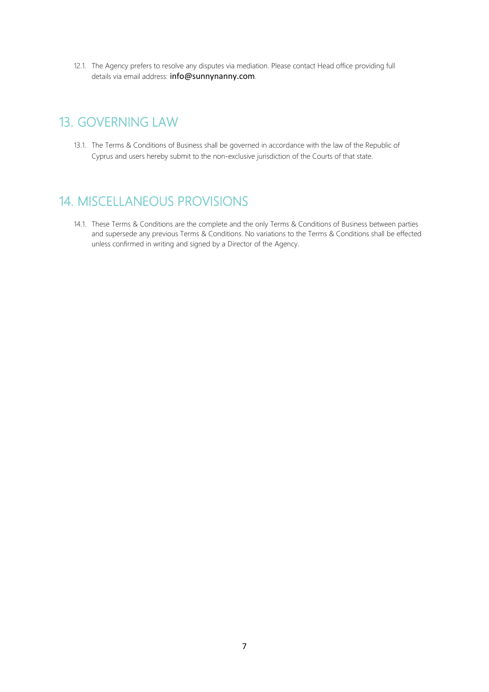12.1. The Agency prefers to resolve any disputes via mediation. Please contact Head office providing full details via email address: [info@sunnynanny.com](mailto:info@sunnynanny.com).

## 13. GOVERNING LAW

13.1. The Terms & Conditions of Business shall be governed in accordance with the law of the Republic of Cyprus and users hereby submit to the non-exclusive jurisdiction of the Courts of that state.

#### 14. MISCELLANEOUS PROVISIONS

14.1. These Terms & Conditions are the complete and the only Terms & Conditions of Business between parties and supersede any previous Terms & Conditions. No variations to the Terms & Conditions shall be effected unless confirmed in writing and signed by a Director of the Agency.